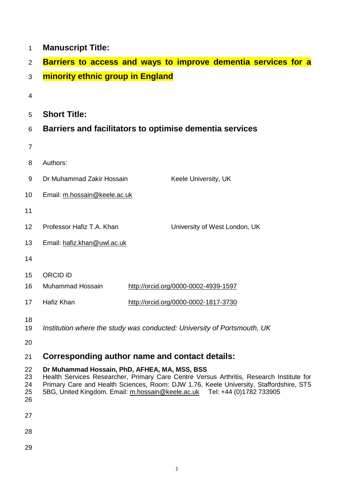| 1                    | <b>Manuscript Title:</b>                                                                                                                                                                                                                                        |                                      |                               |  |  |  |
|----------------------|-----------------------------------------------------------------------------------------------------------------------------------------------------------------------------------------------------------------------------------------------------------------|--------------------------------------|-------------------------------|--|--|--|
| $\overline{2}$       | Barriers to access and ways to improve dementia services for a                                                                                                                                                                                                  |                                      |                               |  |  |  |
| 3                    | minority ethnic group in England                                                                                                                                                                                                                                |                                      |                               |  |  |  |
| 4                    |                                                                                                                                                                                                                                                                 |                                      |                               |  |  |  |
| 5                    | <b>Short Title:</b>                                                                                                                                                                                                                                             |                                      |                               |  |  |  |
| 6                    | Barriers and facilitators to optimise dementia services                                                                                                                                                                                                         |                                      |                               |  |  |  |
| $\overline{7}$       |                                                                                                                                                                                                                                                                 |                                      |                               |  |  |  |
| 8                    | Authors:                                                                                                                                                                                                                                                        |                                      |                               |  |  |  |
| 9                    | Dr Muhammad Zakir Hossain                                                                                                                                                                                                                                       |                                      | Keele University, UK          |  |  |  |
| 10                   | Email: m.hossain@keele.ac.uk                                                                                                                                                                                                                                    |                                      |                               |  |  |  |
| 11                   |                                                                                                                                                                                                                                                                 |                                      |                               |  |  |  |
| 12                   | Professor Hafiz T.A. Khan                                                                                                                                                                                                                                       |                                      | University of West London, UK |  |  |  |
| 13                   | Email: hafiz.khan@uwl.ac.uk                                                                                                                                                                                                                                     |                                      |                               |  |  |  |
| 14                   |                                                                                                                                                                                                                                                                 |                                      |                               |  |  |  |
| 15                   | <b>ORCID iD</b>                                                                                                                                                                                                                                                 |                                      |                               |  |  |  |
| 16                   | <b>Muhammad Hossain</b>                                                                                                                                                                                                                                         | http://orcid.org/0000-0002-4939-1597 |                               |  |  |  |
| 17                   | Hafiz Khan                                                                                                                                                                                                                                                      | http://orcid.org/0000-0002-1817-3730 |                               |  |  |  |
| 18<br>19<br>20       | Institution where the study was conducted: University of Portsmouth, UK                                                                                                                                                                                         |                                      |                               |  |  |  |
| 21                   |                                                                                                                                                                                                                                                                 |                                      |                               |  |  |  |
| 22                   | Corresponding author name and contact details:<br>Dr Muhammad Hossain, PhD, AFHEA, MA, MSS, BSS                                                                                                                                                                 |                                      |                               |  |  |  |
| 23<br>24<br>25<br>26 | Health Services Researcher, Primary Care Centre Versus Arthritis, Research Institute for<br>Primary Care and Health Sciences, Room: DJW 1.76, Keele University, Staffordshire, ST5<br>5BG, United Kingdom. Email: m.hossain@keele.ac.uk Tel: +44 (0)1782 733905 |                                      |                               |  |  |  |
| 27                   |                                                                                                                                                                                                                                                                 |                                      |                               |  |  |  |
| 28                   |                                                                                                                                                                                                                                                                 |                                      |                               |  |  |  |
| 29                   |                                                                                                                                                                                                                                                                 |                                      |                               |  |  |  |
|                      |                                                                                                                                                                                                                                                                 |                                      |                               |  |  |  |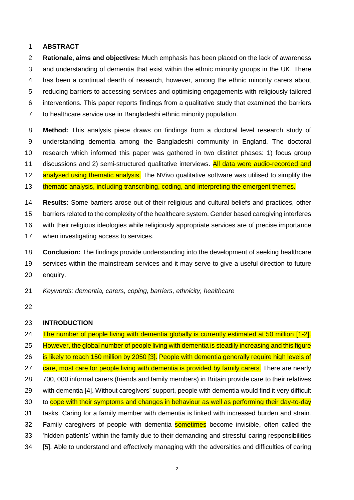#### **ABSTRACT**

 **Rationale, aims and objectives:** Much emphasis has been placed on the lack of awareness and understanding of dementia that exist within the ethnic minority groups in the UK. There has been a continual dearth of research, however, among the ethnic minority carers about reducing barriers to accessing services and optimising engagements with religiously tailored interventions. This paper reports findings from a qualitative study that examined the barriers to healthcare service use in Bangladeshi ethnic minority population.

 **Method:** This analysis piece draws on findings from a doctoral level research study of understanding dementia among the Bangladeshi community in England. The doctoral research which informed this paper was gathered in two distinct phases: 1) focus group 11 discussions and 2) semi-structured qualitative interviews. All data were audio-recorded and 12 analysed using thematic analysis. The NVivo qualitative software was utilised to simplify the

13 thematic analysis, including transcribing, coding, and interpreting the emergent themes.

 **Results:** Some barriers arose out of their religious and cultural beliefs and practices, other barriers related to the complexity of the healthcare system. Gender based caregiving interferes with their religious ideologies while religiously appropriate services are of precise importance when investigating access to services. **Conclusion:** The findings provide understanding into the development of seeking healthcare

 services within the mainstream services and it may serve to give a useful direction to future 20 enquiry.

- *Keywords: dementia, carers, coping, barriers, ethnicity, healthcare*
- 

#### **INTRODUCTION**

24 The number of people living with dementia globally is currently estimated at 50 million [1-2]. 25 However, the global number of people living with dementia is steadily increasing and this figure 26 is likely to reach 150 million by 2050 [3]. People with dementia generally require high levels of 27 care, most care for people living with dementia is provided by family carers. There are nearly 700, 000 informal carers (friends and family members) in Britain provide care to their relatives with dementia [4]. Without caregivers' support, people with dementia would find it very difficult to cope with their symptoms and changes in behaviour as well as performing their day-to-day tasks. Caring for a family member with dementia is linked with increased burden and strain. 32 Family caregivers of people with dementia **sometimes** become invisible, often called the 'hidden patients' within the family due to their demanding and stressful caring responsibilities [5]. Able to understand and effectively managing with the adversities and difficulties of caring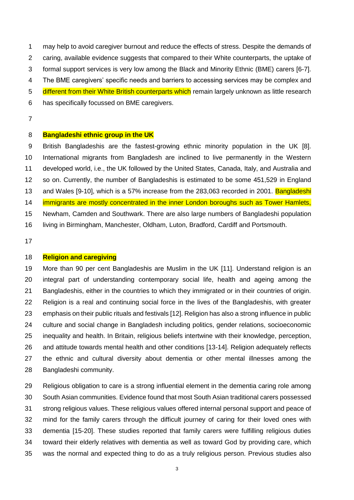may help to avoid caregiver burnout and reduce the effects of stress. Despite the demands of caring, available evidence suggests that compared to their White counterparts, the uptake of formal support services is very low among the Black and Minority Ethnic (BME) carers [6-7]. The BME caregivers' specific needs and barriers to accessing services may be complex and 5 different from their White British counterparts which remain largely unknown as little research has specifically focussed on BME caregivers.

### **Bangladeshi ethnic group in the UK**

 British Bangladeshis are the fastest-growing ethnic minority population in the UK [8]. International migrants from Bangladesh are inclined to live permanently in the Western developed world, i.e., the UK followed by the United States, Canada, Italy, and Australia and so on. Currently, the number of Bangladeshis is estimated to be some 451,529 in England 13 and Wales [9-10], which is a 57% increase from the 283,063 recorded in 2001. **Bangladeshi** 14 immigrants are mostly concentrated in the inner London boroughs such as Tower Hamlets, Newham, Camden and Southwark. There are also large numbers of Bangladeshi population living in Birmingham, Manchester, Oldham, Luton, Bradford, Cardiff and Portsmouth.

## **Religion and caregiving**

 More than 90 per cent Bangladeshis are Muslim in the UK [11]. Understand religion is an integral part of understanding contemporary social life, health and ageing among the Bangladeshis, either in the countries to which they immigrated or in their countries of origin. Religion is a real and continuing social force in the lives of the Bangladeshis, with greater emphasis on their public rituals and festivals [12]. Religion has also a strong influence in public culture and social change in Bangladesh including politics, gender relations, socioeconomic inequality and health. In Britain, religious beliefs intertwine with their knowledge, perception, and attitude towards mental health and other conditions [13-14]. Religion adequately reflects the ethnic and cultural diversity about dementia or other mental illnesses among the Bangladeshi community.

 Religious obligation to care is a strong influential element in the dementia caring role among South Asian communities. Evidence found that most South Asian traditional carers possessed strong religious values. These religious values offered internal personal support and peace of mind for the family carers through the difficult journey of caring for their loved ones with dementia [15-20]. These studies reported that family carers were fulfilling religious duties toward their elderly relatives with dementia as well as toward God by providing care, which was the normal and expected thing to do as a truly religious person. Previous studies also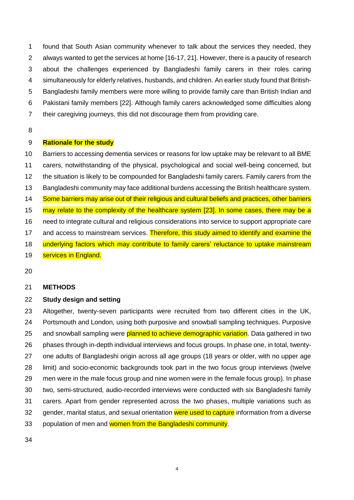found that South Asian community whenever to talk about the services they needed, they always wanted to get the services at home [16-17, 21]. However, there is a paucity of research about the challenges experienced by Bangladeshi family carers in their roles caring simultaneously for elderly relatives, husbands, and children. An earlier study found that British- Bangladeshi family members were more willing to provide family care than British Indian and Pakistani family members [22]. Although family carers acknowledged some difficulties along their caregiving journeys, this did not discourage them from providing care.

## **Rationale for the study**

 Barriers to accessing dementia services or reasons for low uptake may be relevant to all BME carers, notwithstanding of the physical, psychological and social well-being concerned, but the situation is likely to be compounded for Bangladeshi family carers. Family carers from the Bangladeshi community may face additional burdens accessing the British healthcare system. 14 Some barriers may arise out of their religious and cultural beliefs and practices, other barriers may relate to the complexity of the healthcare system [23]. In some cases, there may be a need to integrate cultural and religious considerations into service to support appropriate care 17 and access to mainstream services. Therefore, this study aimed to identify and examine the 18 underlying factors which may contribute to family carers' reluctance to uptake mainstream 19 services in England.

#### **METHODS**

#### **Study design and setting**

 Altogether, twenty-seven participants were recruited from two different cities in the UK, Portsmouth and London, using both purposive and snowball sampling techniques. Purposive 25 and snowball sampling were planned to achieve demographic variation. Data gathered in two phases through in-depth individual interviews and focus groups. In phase one, in total, twenty- one adults of Bangladeshi origin across all age groups (18 years or older, with no upper age limit) and socio-economic backgrounds took part in the two focus group interviews (twelve men were in the male focus group and nine women were in the female focus group). In phase two, semi-structured, audio-recorded interviews were conducted with six Bangladeshi family carers. Apart from gender represented across the two phases, multiple variations such as 32 gender, marital status, and sexual orientation were used to capture information from a diverse 33 population of men and women from the Bangladeshi community.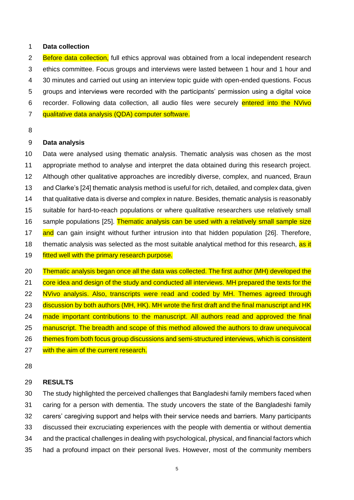### **Data collection**

2 Before data collection, full ethics approval was obtained from a local independent research ethics committee. Focus groups and interviews were lasted between 1 hour and 1 hour and 30 minutes and carried out using an interview topic guide with open-ended questions. Focus groups and interviews were recorded with the participants' permission using a digital voice recorder. Following data collection, all audio files were securely entered into the NVivo qualitative data analysis (QDA) computer software.

## **Data analysis**

 Data were analysed using thematic analysis. Thematic analysis was chosen as the most appropriate method to analyse and interpret the data obtained during this research project. Although other qualitative approaches are incredibly diverse, complex, and nuanced, Braun and Clarke's [24] thematic analysis method is useful for rich, detailed, and complex data, given that qualitative data is diverse and complex in nature. Besides, thematic analysis is reasonably suitable for hard-to-reach populations or where qualitative researchers use relatively small 16 sample populations [25]. Thematic analysis can be used with a relatively small sample size 17 and can gain insight without further intrusion into that hidden population [26]. Therefore, 18 thematic analysis was selected as the most suitable analytical method for this research, as it 19 fitted well with the primary research purpose.

 Thematic analysis began once all the data was collected. The first author (MH) developed the 21 core idea and design of the study and conducted all interviews. MH prepared the texts for the 22 NVivo analysis. Also, transcripts were read and coded by MH. Themes agreed through 23 discussion by both authors (MH, HK). MH wrote the first draft and the final manuscript and HK 24 made important contributions to the manuscript. All authors read and approved the final 25 manuscript. The breadth and scope of this method allowed the authors to draw unequivocal 26 themes from both focus group discussions and semi-structured interviews, which is consistent 27 with the aim of the current research.

### **RESULTS**

 The study highlighted the perceived challenges that Bangladeshi family members faced when caring for a person with dementia. The study uncovers the state of the Bangladeshi family carers' caregiving support and helps with their service needs and barriers. Many participants discussed their excruciating experiences with the people with dementia or without dementia and the practical challenges in dealing with psychological, physical, and financial factors which had a profound impact on their personal lives. However, most of the community members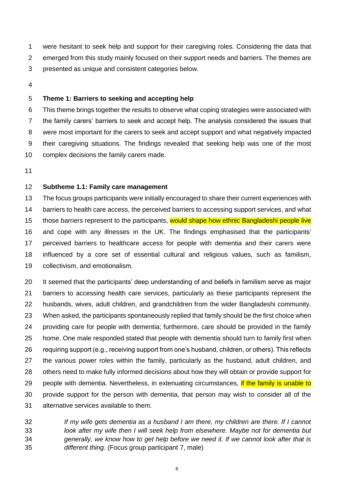were hesitant to seek help and support for their caregiving roles. Considering the data that emerged from this study mainly focused on their support needs and barriers. The themes are presented as unique and consistent categories below.

## **Theme 1: Barriers to seeking and accepting help**

 This theme brings together the results to observe what coping strategies were associated with the family carers' barriers to seek and accept help. The analysis considered the issues that were most important for the carers to seek and accept support and what negatively impacted their caregiving situations. The findings revealed that seeking help was one of the most complex decisions the family carers made.

## **Subtheme 1.1: Family care management**

 The focus groups participants were initially encouraged to share their current experiences with 14 barriers to health care access, the perceived barriers to accessing support services, and what those barriers represent to the participants, would shape how ethnic Bangladeshi people live and cope with any illnesses in the UK. The findings emphasised that the participants' perceived barriers to healthcare access for people with dementia and their carers were influenced by a core set of essential cultural and religious values, such as familism, collectivism, and emotionalism.

 It seemed that the participants' deep understanding of and beliefs in familism serve as major barriers to accessing health care services, particularly as these participants represent the husbands, wives, adult children, and grandchildren from the wider Bangladeshi community. When asked, the participants spontaneously replied that family should be the first choice when providing care for people with dementia; furthermore, care should be provided in the family home. One male responded stated that people with dementia should turn to family first when requiring support (e.g., receiving support from one's husband, children, or others). This reflects the various power roles within the family, particularly as the husband, adult children, and others need to make fully informed decisions about how they will obtain or provide support for 29 people with dementia. Nevertheless, in extenuating circumstances, if the family is unable to provide support for the person with dementia, that person may wish to consider all of the alternative services available to them.

 *If my wife gets dementia as a husband I am there, my children are there. If I cannot look after my wife then I will seek help from elsewhere. Maybe not for dementia but generally, we know how to get help before we need it. If we cannot look after that is different thing.* (Focus group participant 7, male)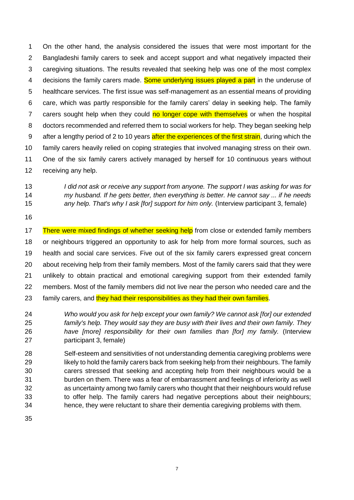On the other hand, the analysis considered the issues that were most important for the Bangladeshi family carers to seek and accept support and what negatively impacted their caregiving situations. The results revealed that seeking help was one of the most complex 4 decisions the family carers made. Some underlying issues played a part in the underuse of healthcare services. The first issue was self-management as an essential means of providing care, which was partly responsible for the family carers' delay in seeking help. The family 7 carers sought help when they could no longer cope with themselves or when the hospital doctors recommended and referred them to social workers for help. They began seeking help 9 after a lengthy period of 2 to 10 years after the experiences of the first strain, during which the family carers heavily relied on coping strategies that involved managing stress on their own. One of the six family carers actively managed by herself for 10 continuous years without receiving any help.

- *I did not ask or receive any support from anyone. The support I was asking for was for my husband. If he gets better, then everything is better. He cannot say ... if he needs any help. That's why I ask [for] support for him only.* (Interview participant 3, female)
- 

17 There were mixed findings of whether seeking help from close or extended family members or neighbours triggered an opportunity to ask for help from more formal sources, such as health and social care services. Five out of the six family carers expressed great concern about receiving help from their family members. Most of the family carers said that they were unlikely to obtain practical and emotional caregiving support from their extended family members. Most of the family members did not live near the person who needed care and the 23 family carers, and they had their responsibilities as they had their own families.

 *Who would you ask for help except your own family? We cannot ask [for] our extended family's help. They would say they are busy with their lives and their own family. They have [more] responsibility for their own families than [for] my family.* (Interview participant 3, female)

 Self-esteem and sensitivities of not understanding dementia caregiving problems were 29 likely to hold the family carers back from seeking help from their neighbours. The family carers stressed that seeking and accepting help from their neighbours would be a burden on them. There was a fear of embarrassment and feelings of inferiority as well as uncertainty among two family carers who thought that their neighbours would refuse to offer help. The family carers had negative perceptions about their neighbours; hence, they were reluctant to share their dementia caregiving problems with them.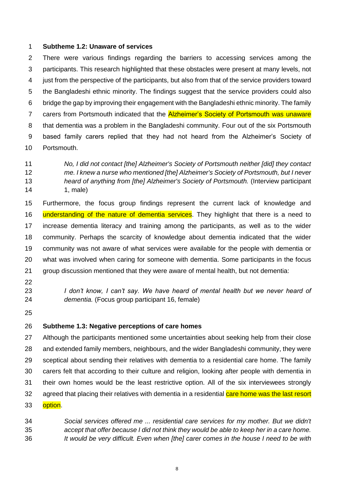#### **Subtheme 1.2: Unaware of services**

 There were various findings regarding the barriers to accessing services among the participants. This research highlighted that these obstacles were present at many levels, not just from the perspective of the participants, but also from that of the service providers toward the Bangladeshi ethnic minority. The findings suggest that the service providers could also bridge the gap by improving their engagement with the Bangladeshi ethnic minority. The family 7 carers from Portsmouth indicated that the **Alzheimer's Society of Portsmouth was unaware**  that dementia was a problem in the Bangladeshi community. Four out of the six Portsmouth based family carers replied that they had not heard from the Alzheimer's Society of Portsmouth.

# *No, I did not contact [the] Alzheimer's Society of Portsmouth neither [did] they contact me. I knew a nurse who mentioned [the] Alzheimer's Society of Portsmouth, but I never heard of anything from [the] Alzheimer's Society of Portsmouth.* (Interview participant 1, male)

 Furthermore, the focus group findings represent the current lack of knowledge and 16 understanding of the nature of dementia services. They highlight that there is a need to increase dementia literacy and training among the participants, as well as to the wider community. Perhaps the scarcity of knowledge about dementia indicated that the wider community was not aware of what services were available for the people with dementia or what was involved when caring for someone with dementia. Some participants in the focus group discussion mentioned that they were aware of mental health, but not dementia:

- 
- 

 *I don't know, I can't say. We have heard of mental health but we never heard of dementia.* (Focus group participant 16, female)

## **Subtheme 1.3: Negative perceptions of care homes**

27 Although the participants mentioned some uncertainties about seeking help from their close and extended family members, neighbours, and the wider Bangladeshi community, they were sceptical about sending their relatives with dementia to a residential care home. The family carers felt that according to their culture and religion, looking after people with dementia in their own homes would be the least restrictive option. All of the six interviewees strongly 32 agreed that placing their relatives with dementia in a residential care home was the last resort **option**.

 *Social services offered me ... residential care services for my mother. But we didn't accept that offer because I did not think they would be able to keep her in a care home. It would be very difficult. Even when [the] carer comes in the house I need to be with*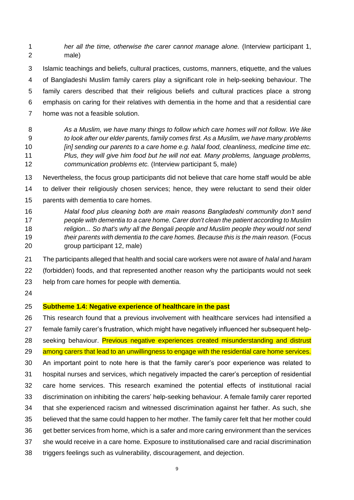*her all the time, otherwise the carer cannot manage alone.* (Interview participant 1, male)

 Islamic teachings and beliefs, cultural practices, customs, manners, etiquette, and the values of Bangladeshi Muslim family carers play a significant role in help-seeking behaviour. The family carers described that their religious beliefs and cultural practices place a strong emphasis on caring for their relatives with dementia in the home and that a residential care home was not a feasible solution.

 *As a Muslim, we have many things to follow which care homes will not follow. We like to look after our elder parents, family comes first. As a Muslim, we have many problems [in] sending our parents to a care home e.g. halal food, cleanliness, medicine time etc. Plus, they will give him food but he will not eat. Many problems, language problems, communication problems etc.* (Interview participant 5, male)

 Nevertheless, the focus group participants did not believe that care home staff would be able to deliver their religiously chosen services; hence, they were reluctant to send their older parents with dementia to care homes.

- *Halal food plus cleaning both are main reasons Bangladeshi community don't send people with dementia to a care home. Carer don't clean the patient according to Muslim religion... So that's why all the Bengali people and Muslim people they would not send their parents with dementia to the care homes. Because this is the main reason.* (Focus group participant 12, male)
- The participants alleged that health and social care workers were not aware of *halal* and *haram* (forbidden) foods, and that represented another reason why the participants would not seek help from care homes for people with dementia.
- 

# **Subtheme 1.4: Negative experience of healthcare in the past**

 This research found that a previous involvement with healthcare services had intensified a female family carer's frustration, which might have negatively influenced her subsequent help-28 seeking behaviour. Previous negative experiences created misunderstanding and distrust 29 among carers that lead to an unwillingness to engage with the residential care home services. An important point to note here is that the family carer's poor experience was related to hospital nurses and services, which negatively impacted the carer's perception of residential care home services. This research examined the potential effects of institutional racial discrimination on inhibiting the carers' help-seeking behaviour. A female family carer reported that she experienced racism and witnessed discrimination against her father. As such, she believed that the same could happen to her mother. The family carer felt that her mother could get better services from home, which is a safer and more caring environment than the services she would receive in a care home. Exposure to institutionalised care and racial discrimination triggers feelings such as vulnerability, discouragement, and dejection.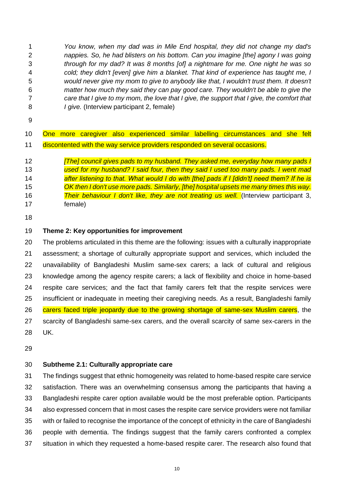*You know, when my dad was in Mile End hospital, they did not change my dad's nappies. So, he had blisters on his bottom. Can you imagine [the] agony I was going through for my dad? It was 8 months [of] a nightmare for me. One night he was so cold; they didn't [even] give him a blanket. That kind of experience has taught me, I would never give my mom to give to anybody like that, I wouldn't trust them. It doesn't matter how much they said they can pay good care. They wouldn't be able to give the care that I give to my mom, the love that I give, the support that I give, the comfort that I give.* (Interview participant 2, female)

|  |  |  |  | 10 One more caregiver also experienced similar labelling circumstances and she felt |  |  |
|--|--|--|--|-------------------------------------------------------------------------------------|--|--|
|  |  |  |  | 11 discontented with the way service providers responded on several occasions.      |  |  |

 *[The] council gives pads to my husband. They asked me, everyday how many pads I used for my husband? I said four, then they said I used too many pads. I went mad after listening to that. What would I do with [the] pads if I [didn't] need them? If he is OK then I don't use more pads. Similarly, [the] hospital upsets me many times this way. Their behaviour I don't like, they are not treating us well.* (Interview participant 3, female)

## **Theme 2: Key opportunities for improvement**

 The problems articulated in this theme are the following: issues with a culturally inappropriate assessment; a shortage of culturally appropriate support and services, which included the unavailability of Bangladeshi Muslim same-sex carers; a lack of cultural and religious knowledge among the agency respite carers; a lack of flexibility and choice in home-based respite care services; and the fact that family carers felt that the respite services were insufficient or inadequate in meeting their caregiving needs. As a result, Bangladeshi family carers faced triple jeopardy due to the growing shortage of same-sex Muslim carers, the scarcity of Bangladeshi same-sex carers, and the overall scarcity of same sex-carers in the UK.

## **Subtheme 2.1: Culturally appropriate care**

 The findings suggest that ethnic homogeneity was related to home-based respite care service satisfaction. There was an overwhelming consensus among the participants that having a Bangladeshi respite carer option available would be the most preferable option. Participants also expressed concern that in most cases the respite care service providers were not familiar with or failed to recognise the importance of the concept of ethnicity in the care of Bangladeshi people with dementia. The findings suggest that the family carers confronted a complex situation in which they requested a home-based respite carer. The research also found that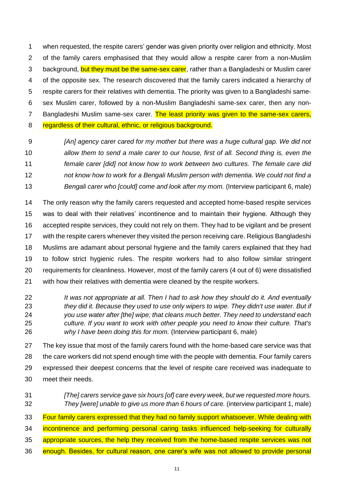when requested, the respite carers' gender was given priority over religion and ethnicity. Most of the family carers emphasised that they would allow a respite carer from a non-Muslim 3 background, but they must be the same-sex carer, rather than a Bangladeshi or Muslim carer of the opposite sex. The research discovered that the family carers indicated a hierarchy of respite carers for their relatives with dementia. The priority was given to a Bangladeshi same- sex Muslim carer, followed by a non-Muslim Bangladeshi same-sex carer, then any non-7 Bangladeshi Muslim same-sex carer. The least priority was given to the same-sex carers, 8 regardless of their cultural, ethnic, or religious background.

 *[An] agency carer cared for my mother but there was a huge cultural gap. We did not allow them to send a male carer to our house, first of all. Second thing is, even the female carer [did] not know how to work between two cultures. The female care did not know how to work for a Bengali Muslim person with dementia. We could not find a Bengali carer who [could] come and look after my mom.* (Interview participant 6, male)

 The only reason why the family carers requested and accepted home-based respite services was to deal with their relatives' incontinence and to maintain their hygiene. Although they accepted respite services, they could not rely on them. They had to be vigilant and be present with the respite carers whenever they visited the person receiving care. Religious Bangladeshi Muslims are adamant about personal hygiene and the family carers explained that they had to follow strict hygienic rules. The respite workers had to also follow similar stringent requirements for cleanliness. However, most of the family carers (4 out of 6) were dissatisfied with how their relatives with dementia were cleaned by the respite workers.

 *It was not appropriate at all. Then I had to ask how they should do it. And eventually they did it. Because they used to use only wipers to wipe. They didn't use water. But if you use water after [the] wipe; that cleans much better. They need to understand each culture. If you want to work with other people you need to know their culture. That's why I have been doing this for mom.* (Interview participant 6, male)

 The key issue that most of the family carers found with the home-based care service was that the care workers did not spend enough time with the people with dementia. Four family carers expressed their deepest concerns that the level of respite care received was inadequate to meet their needs.

 *[The] carers service gave six hours [of] care every week, but we requested more hours. They [were] unable to give us more than 6 hours of care.* (interview participant 1, male)

33 Four family carers expressed that they had no family support whatsoever. While dealing with 34 incontinence and performing personal caring tasks influenced help-seeking for culturally 35 appropriate sources, the help they received from the home-based respite services was not enough. Besides, for cultural reason, one carer's wife was not allowed to provide personal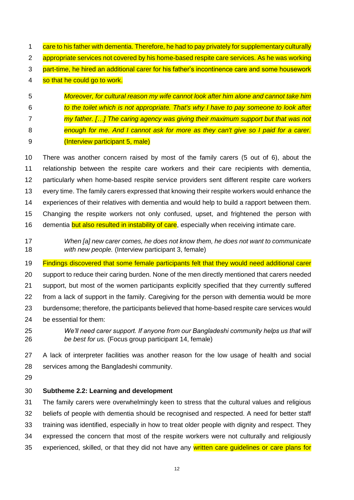- 1 care to his father with dementia. Therefore, he had to pay privately for supplementary culturally appropriate services not covered by his home-based respite care services. As he was working part-time, he hired an additional carer for his father's incontinence care and some housework 4 so that he could go to work.
- *Moreover, for cultural reason my wife cannot look after him alone and cannot take him to the toilet which is not appropriate. That's why I have to pay someone to look after my father. […] The caring agency was giving their maximum support but that was not enough for me. And I cannot ask for more as they can't give so I paid for a carer.*  (Interview participant 5, male)
- There was another concern raised by most of the family carers (5 out of 6), about the relationship between the respite care workers and their care recipients with dementia, particularly when home-based respite service providers sent different respite care workers every time. The family carers expressed that knowing their respite workers would enhance the experiences of their relatives with dementia and would help to build a rapport between them. Changing the respite workers not only confused, upset, and frightened the person with 16 dementia but also resulted in instability of care, especially when receiving intimate care.
- *When [a] new carer comes, he does not know them, he does not want to communicate with new people.* (Interview participant 3, female)
- Findings discovered that some female participants felt that they would need additional carer support to reduce their caring burden. None of the men directly mentioned that carers needed support, but most of the women participants explicitly specified that they currently suffered from a lack of support in the family. Caregiving for the person with dementia would be more burdensome; therefore, the participants believed that home-based respite care services would be essential for them:
- *We'll need carer support. If anyone from our Bangladeshi community helps us that will be best for us.* (Focus group participant 14, female)

 A lack of interpreter facilities was another reason for the low usage of health and social services among the Bangladeshi community.

# **Subtheme 2.2: Learning and development**

 The family carers were overwhelmingly keen to stress that the cultural values and religious beliefs of people with dementia should be recognised and respected. A need for better staff training was identified, especially in how to treat older people with dignity and respect. They expressed the concern that most of the respite workers were not culturally and religiously 35 experienced, skilled, or that they did not have any written care quidelines or care plans for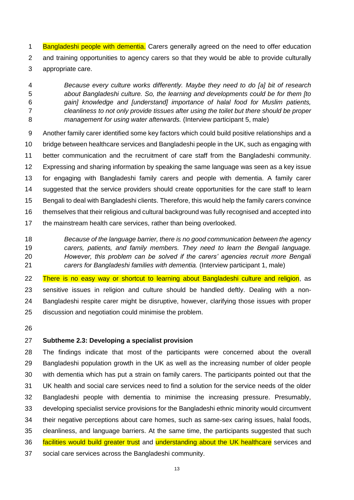1 Bangladeshi people with dementia. Carers generally agreed on the need to offer education and training opportunities to agency carers so that they would be able to provide culturally appropriate care.

 *Because every culture works differently. Maybe they need to do [a] bit of research about Bangladeshi culture. So, the learning and developments could be for them [to gain] knowledge and [understand] importance of halal food for Muslim patients, cleanliness to not only provide tissues after using the toilet but there should be proper management for using water afterwards.* (Interview participant 5, male)

 Another family carer identified some key factors which could build positive relationships and a bridge between healthcare services and Bangladeshi people in the UK, such as engaging with better communication and the recruitment of care staff from the Bangladeshi community. Expressing and sharing information by speaking the same language was seen as a key issue for engaging with Bangladeshi family carers and people with dementia. A family carer suggested that the service providers should create opportunities for the care staff to learn Bengali to deal with Bangladeshi clients. Therefore, this would help the family carers convince themselves that their religious and cultural background was fully recognised and accepted into 17 the mainstream health care services, rather than being overlooked.

 *Because of the language barrier, there is no good communication between the agency carers, patients, and family members. They need to learn the Bengali language. However, this problem can be solved if the carers' agencies recruit more Bengali carers for Bangladeshi families with dementia.* (Interview participant 1, male)

22 There is no easy way or shortcut to learning about Bangladeshi culture and religion, as sensitive issues in religion and culture should be handled deftly. Dealing with a non- Bangladeshi respite carer might be disruptive, however, clarifying those issues with proper discussion and negotiation could minimise the problem.

## **Subtheme 2.3: Developing a specialist provision**

 The findings indicate that most of the participants were concerned about the overall Bangladeshi population growth in the UK as well as the increasing number of older people with dementia which has put a strain on family carers. The participants pointed out that the UK health and social care services need to find a solution for the service needs of the older Bangladeshi people with dementia to minimise the increasing pressure. Presumably, developing specialist service provisions for the Bangladeshi ethnic minority would circumvent their negative perceptions about care homes, such as same-sex caring issues, halal foods, cleanliness, and language barriers. At the same time, the participants suggested that such 36 facilities would build greater trust and understanding about the UK healthcare services and social care services across the Bangladeshi community.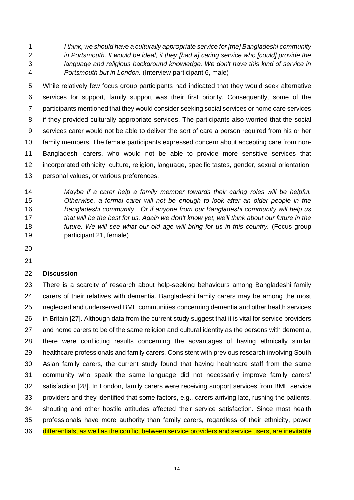*I think, we should have a culturally appropriate service for [the] Bangladeshi community in Portsmouth. It would be ideal, if they [had a] caring service who [could] provide the language and religious background knowledge. We don't have this kind of service in Portsmouth but in London.* (Interview participant 6, male)

 While relatively few focus group participants had indicated that they would seek alternative services for support, family support was their first priority. Consequently, some of the participants mentioned that they would consider seeking social services or home care services if they provided culturally appropriate services. The participants also worried that the social services carer would not be able to deliver the sort of care a person required from his or her family members. The female participants expressed concern about accepting care from non- Bangladeshi carers, who would not be able to provide more sensitive services that incorporated ethnicity, culture, religion, language, specific tastes, gender, sexual orientation, personal values, or various preferences.

 *Maybe if a carer help a family member towards their caring roles will be helpful. Otherwise, a formal carer will not be enough to look after an older people in the Bangladeshi community…Or if anyone from our Bangladeshi community will help us that will be the best for us. Again we don't know yet, we'll think about our future in the future. We will see what our old age will bring for us in this country.* (Focus group participant 21, female)

### **Discussion**

 There is a scarcity of research about help-seeking behaviours among Bangladeshi family carers of their relatives with dementia. Bangladeshi family carers may be among the most neglected and underserved BME communities concerning dementia and other health services in Britain [27]. Although data from the current study suggest that it is vital for service providers and home carers to be of the same religion and cultural identity as the persons with dementia, there were conflicting results concerning the advantages of having ethnically similar healthcare professionals and family carers. Consistent with previous research involving South Asian family carers, the current study found that having healthcare staff from the same community who speak the same language did not necessarily improve family carers' satisfaction [28]. In London, family carers were receiving support services from BME service providers and they identified that some factors, e.g., carers arriving late, rushing the patients, shouting and other hostile attitudes affected their service satisfaction. Since most health professionals have more authority than family carers, regardless of their ethnicity, power differentials, as well as the conflict between service providers and service users, are inevitable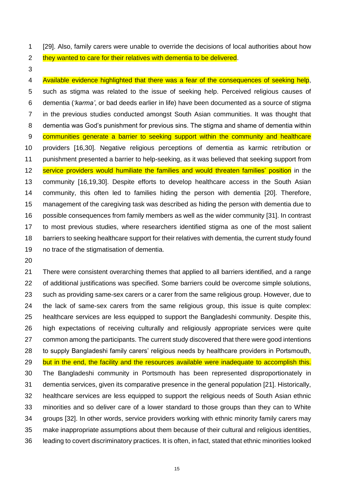[29]. Also, family carers were unable to override the decisions of local authorities about how

- 2 they wanted to care for their relatives with dementia to be delivered.
- 

4 Available evidence highlighted that there was a fear of the consequences of seeking help, such as stigma was related to the issue of seeking help. Perceived religious causes of dementia (*'karma'*, or bad deeds earlier in life) have been documented as a source of stigma in the previous studies conducted amongst South Asian communities. It was thought that dementia was God's punishment for previous sins. The stigma and shame of dementia within 9 communities generate a barrier to seeking support within the community and healthcare providers [16,30]. Negative religious perceptions of dementia as karmic retribution or punishment presented a barrier to help-seeking, as it was believed that seeking support from 12 service providers would humiliate the families and would threaten families' position in the community [16,19,30]. Despite efforts to develop healthcare access in the South Asian community, this often led to families hiding the person with dementia [20]. Therefore, management of the caregiving task was described as hiding the person with dementia due to possible consequences from family members as well as the wider community [31]. In contrast to most previous studies, where researchers identified stigma as one of the most salient barriers to seeking healthcare support for their relatives with dementia, the current study found no trace of the stigmatisation of dementia.

 There were consistent overarching themes that applied to all barriers identified, and a range of additional justifications was specified. Some barriers could be overcome simple solutions, such as providing same-sex carers or a carer from the same religious group. However, due to the lack of same-sex carers from the same religious group, this issue is quite complex: healthcare services are less equipped to support the Bangladeshi community. Despite this, high expectations of receiving culturally and religiously appropriate services were quite common among the participants. The current study discovered that there were good intentions to supply Bangladeshi family carers' religious needs by healthcare providers in Portsmouth, 29 but in the end, the facility and the resources available were inadequate to accomplish this. The Bangladeshi community in Portsmouth has been represented disproportionately in dementia services, given its comparative presence in the general population [21]. Historically, healthcare services are less equipped to support the religious needs of South Asian ethnic minorities and so deliver care of a lower standard to those groups than they can to White groups [32]. In other words, service providers working with ethnic minority family carers may make inappropriate assumptions about them because of their cultural and religious identities, leading to covert discriminatory practices. It is often, in fact, stated that ethnic minorities looked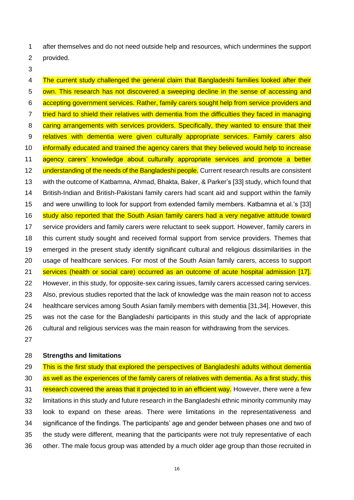after themselves and do not need outside help and resources, which undermines the support provided.

4 The current study challenged the general claim that Bangladeshi families looked after their own. This research has not discovered a sweeping decline in the sense of accessing and accepting government services. Rather, family carers sought help from service providers and 7 tried hard to shield their relatives with dementia from the difficulties they faced in managing 8 caring arrangements with services providers. Specifically, they wanted to ensure that their 9 relatives with dementia were given culturally appropriate services. Family carers also informally educated and trained the agency carers that they believed would help to increase agency carers' knowledge about culturally appropriate services and promote a better 12 understanding of the needs of the Bangladeshi people. Current research results are consistent with the outcome of Katbamna, Ahmad, Bhakta, Baker, & Parker's [33] study, which found that British-Indian and British-Pakistani family carers had scant aid and support within the family and were unwilling to look for support from extended family members. Katbamna et al.'s [33] 16 study also reported that the South Asian family carers had a very negative attitude toward service providers and family carers were reluctant to seek support. However, family carers in this current study sought and received formal support from service providers. Themes that emerged in the present study identify significant cultural and religious dissimilarities in the usage of healthcare services. For most of the South Asian family carers, access to support services (health or social care) occurred as an outcome of acute hospital admission [17]. However, in this study, for opposite-sex caring issues, family carers accessed caring services. Also, previous studies reported that the lack of knowledge was the main reason not to access healthcare services among South Asian family members with dementia [31,34]. However, this was not the case for the Bangladeshi participants in this study and the lack of appropriate cultural and religious services was the main reason for withdrawing from the services.

#### **Strengths and limitations**

29 This is the first study that explored the perspectives of Bangladeshi adults without dementia 30 as well as the experiences of the family carers of relatives with dementia. As a first study, this 31 research covered the areas that it projected to in an efficient way. However, there were a few limitations in this study and future research in the Bangladeshi ethnic minority community may look to expand on these areas. There were limitations in the representativeness and significance of the findings. The participants' age and gender between phases one and two of the study were different, meaning that the participants were not truly representative of each other. The male focus group was attended by a much older age group than those recruited in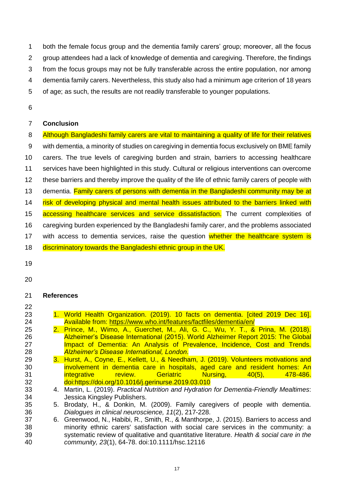both the female focus group and the dementia family carers' group; moreover, all the focus group attendees had a lack of knowledge of dementia and caregiving. Therefore, the findings from the focus groups may not be fully transferable across the entire population, nor among dementia family carers. Nevertheless, this study also had a minimum age criterion of 18 years of age; as such, the results are not readily transferable to younger populations.

## **Conclusion**

| 8               | Although Bangladeshi family carers are vital to maintaining a quality of life for their relatives |
|-----------------|---------------------------------------------------------------------------------------------------|
| 9               | with dementia, a minority of studies on caregiving in dementia focus exclusively on BME family    |
| 10 <sup>°</sup> | carers. The true levels of caregiving burden and strain, barriers to accessing healthcare         |
| 11              | services have been highlighted in this study. Cultural or religious interventions can overcome    |
| 12              | these barriers and thereby improve the quality of the life of ethnic family carers of people with |
| 13              | dementia. Family carers of persons with dementia in the Bangladeshi community may be at           |
| 14              | risk of developing physical and mental health issues attributed to the barriers linked with       |
| 15              | accessing healthcare services and service dissatisfaction. The current complexities of            |
| 16              | caregiving burden experienced by the Bangladeshi family carer, and the problems associated        |
| 17              | with access to dementia services, raise the question whether the healthcare system is             |
| 18              | discriminatory towards the Bangladeshi ethnic group in the UK.                                    |

- 
- 

## **References**

- 
- 1. World Health Organization. (2019). 10 facts on dementia. [cited 2019 Dec 16]. 24 Available from:<https://www.who.int/features/factfiles/dementia/en/><br>25 2. Prince, M., Wimo, A., Guerchet, M., Ali, G. C., Wu, Y. T., &
- 2. Prince, M., Wimo, A., Guerchet, M., Ali, G. C., Wu, Y. T., & Prina, M. (2018). Alzheimer's Disease International (2015). World Alzheimer Report 2015: The Global **Impact of Dementia: An Analysis of Prevalence, Incidence, Cost and Trends.** *Alzheimer's Disease International, London*.
- 3. Hurst, A., Coyne, E., Kellett, U., & Needham, J. (2019). Volunteers motivations and involvement in dementia care in hospitals, aged care and resident homes: An integrative review. Geriatric Nursing, 40(5), 478-486. doi:https://doi.org/10.1016/j.gerinurse.2019.03.010
- 4. Martin, L. (2019). *Practical Nutrition and Hydration for Dementia-Friendly Mealtimes*: Jessica Kingsley Publishers.
- 5. Brodaty, H., & Donkin, M. (2009). Family caregivers of people with dementia. *Dialogues in clinical neuroscience, 11*(2), 217-228.
- 6. Greenwood, N., Habibi, R., Smith, R., & Manthorpe, J. (2015). Barriers to access and minority ethnic carers' satisfaction with social care services in the community: a systematic review of qualitative and quantitative literature. *Health & social care in the community, 23*(1), 64-78. doi:10.1111/hsc.12116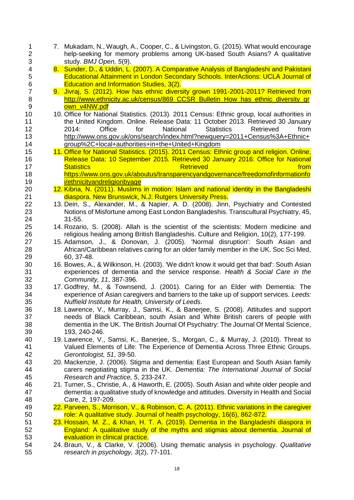8. Sunder, D., & Uddin, L. (2007). A Comparative Analysis of Bangladeshi and Pakistani<br>5 **8. Educational Attainment in London Secondary Schools. InterActions: UCLA Journal of**  Educational Attainment in London Secondary Schools. InterActions: UCLA Journal of Education and Information Studies, 3(2). 9. Jivraj, S. (2012). How has ethnic diversity grown 1991-2001-2011? Retrieved from 8 http://www.ethnicity.ac.uk/census/869 CCSR\_Bulletin\_How\_has\_ethnic\_diversity\_gr [own\\_v4NW.pdf](http://www.ethnicity.ac.uk/census/869_CCSR_Bulletin_How_has_ethnic_diversity_grown_v4NW.pdf) 10. Office for National Statistics. (2013). 2011 Census: Ethnic group, local authorities in 11 the United Kingdom. Online. Release Data: 11 October 2013. Retrieved 30 January 2014: Office for National Statistics Retrieved from [http://www.ons.gov.uk/ons/search/index.html?newquery=2011+Census%3A+Ethnic+](http://www.ons.gov.uk/ons/search/index.html?newquery=2011+Census%3A+Ethnic+group%2C+local+authorities+in+the+United+Kingdom) [group%2C+local+authorities+in+the+United+Kingdom](http://www.ons.gov.uk/ons/search/index.html?newquery=2011+Census%3A+Ethnic+group%2C+local+authorities+in+the+United+Kingdom) 15 11. Office for National Statistics. (2015). 2011 Census: Ethnic group and religion. Online. Release Data: 10 September 2015. Retrieved 30 January 2016: Office for National 17 Statistics **Retrieved Container and Statistics Retrieved from**  [https://www.ons.gov.uk/aboutus/transparencyandgovernance/freedomofinformationfo](https://www.ons.gov.uk/aboutus/transparencyandgovernance/freedomofinformationfoi/ethnicityandreligionbyage) **[i/ethnicityandreligionbyage](https://www.ons.gov.uk/aboutus/transparencyandgovernance/freedomofinformationfoi/ethnicityandreligionbyage)**  12. Kibria, N. (2011). Muslims in motion: Islam and national identity in the Bangladeshi diaspora. New Brunswick, N.J: Rutgers University Press. 13. Dein, S., Alexander, M., & Napier, A. D. (2008). Jinn, Psychiatry and Contested Notions of Misfortune among East London Bangladeshis. Transcultural Psychiatry, 45, 31-55. 14. Rozario, S. (2008). Allah is the scientist of the scientists: Modern medicine and religious healing among British Bangladeshis. Culture and Religion, 10(2), 177-199. 15. Adamson, J., & Donovan, J. (2005). 'Normal disruption': South Asian and African/Caribbean relatives caring for an older family member in the UK. Soc Sci Med, 60, 37-48. 16. Bowes, A., & Wilkinson, H. (2003). 'We didn't know it would get that bad': South Asian experiences of dementia and the service response. *Health & Social Care in the Community, 11*, 387-396. 17. Godfrey, M., & Townsend, J. (2001). Caring for an Elder with Dementia: The experience of Asian caregivers and barriers to the take up of support services. *Leeds: Nuffield Institute for Health, University of Leeds*. 18. Lawrence, V., Murray, J., Samsi, K., & Banerjee, S. (2008). Attitudes and support needs of Black Caribbean, south Asian and White British carers of people with dementia in the UK. The British Journal Of Psychiatry: The Journal Of Mental Science, 193, 240-246. 19. Lawrence, V., Samsi, K., Banerjee, S., Morgan, C., & Murray, J. (2010). Threat to Valued Elements of Life: The Experience of Dementia Across Three Ethnic Groups. *Gerontologist, 51*, 39-50. 43 20. Mackenzie, J. (2006). Stigma and dementia: East European and South Asian family<br>44 carers negotiating stigma in the UK. Dementia: The International Journal of Social carers negotiating stigma in the UK. *Dementia: The International Journal of Social Research and Practice, 5*, 233-247. 21. Turner, S., Christie, A., & Haworth, E. (2005). South Asian and white older people and dementia: a qualitative study of knowledge and attitudes. Diversity in Health and Social Care, 2, 197-209. 22. Parveen, S., Morrison, V., & Robinson, C. A. (2011). Ethnic variations in the caregiver role: A qualitative study. Journal of health psychology, 16(6), 862-872. 23. Hossain, M. Z., & Khan, H. T. A. (2019). Dementia in the Bangladeshi diaspora in England: A qualitative study of the myths and stigmas about dementia. Journal of evaluation in clinical practice. 24. Braun, V., & Clarke, V. (2006). Using thematic analysis in psychology. *Qualitative research in psychology, 3*(2), 77-101.

 7. Mukadam, N., Waugh, A., Cooper, C., & Livingston, G. (2015). What would encourage help-seeking for memory problems among UK-based South Asians? A qualitative

study. *BMJ Open, 5*(9).